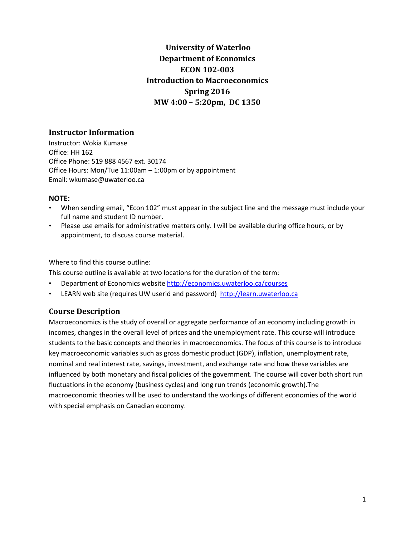# **University of Waterloo Department of Economics ECON 102-003 Introduction to Macroeconomics Spring 2016 MW 4:00 – 5:20pm, DC 1350**

### **Instructor Information**

Instructor: Wokia Kumase Office: HH 162 Office Phone: 519 888 4567 ext. 30174 Office Hours: Mon/Tue 11:00am – 1:00pm or by appointment Email: wkumase@uwaterloo.ca

### **NOTE:**

- When sending email, "Econ 102" must appear in the subject line and the message must include your full name and student ID number.
- Please use emails for administrative matters only. I will be available during office hours, or by appointment, to discuss course material.

Where to find this course outline:

This course outline is available at two locations for the duration of the term:

- Department of Economics websit[e http://economics.uwaterloo.ca/courses](http://economics.uwaterloo.ca/courses)
- LEARN web site (requires UW userid and password) [http://learn.uwaterloo.ca](http://learn.uwaterloo.ca/)

# **Course Description**

Macroeconomics is the study of overall or aggregate performance of an economy including growth in incomes, changes in the overall level of prices and the unemployment rate. This course will introduce students to the basic concepts and theories in macroeconomics. The focus of this course is to introduce key macroeconomic variables such as gross domestic product (GDP), inflation, unemployment rate, nominal and real interest rate, savings, investment, and exchange rate and how these variables are influenced by both monetary and fiscal policies of the government. The course will cover both short run fluctuations in the economy (business cycles) and long run trends (economic growth).The macroeconomic theories will be used to understand the workings of different economies of the world with special emphasis on Canadian economy.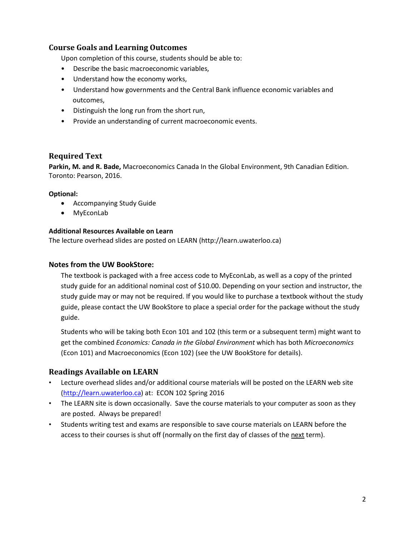### **Course Goals and Learning Outcomes**

Upon completion of this course, students should be able to:

- Describe the basic macroeconomic variables,
- Understand how the economy works,
- Understand how governments and the Central Bank influence economic variables and outcomes,
- Distinguish the long run from the short run,
- Provide an understanding of current macroeconomic events.

### **Required Text**

**Parkin, M. and R. Bade,** Macroeconomics Canada In the Global Environment, 9th Canadian Edition. Toronto: Pearson, 2016.

### **Optional:**

- Accompanying Study Guide
- MyEconLab

### **Additional Resources Available on Learn**

The lecture overhead slides are posted on LEARN (http://learn.uwaterloo.ca)

### **Notes from the UW BookStore:**

The textbook is packaged with a free access code to MyEconLab, as well as a copy of the printed study guide for an additional nominal cost of \$10.00. Depending on your section and instructor, the study guide may or may not be required. If you would like to purchase a textbook without the study guide, please contact the UW BookStore to place a special order for the package without the study guide.

Students who will be taking both Econ 101 and 102 (this term or a subsequent term) might want to get the combined *Economics: Canada in the Global Environment* which has both *Microeconomics* (Econ 101) and Macroeconomics (Econ 102) (see the UW BookStore for details).

### **Readings Available on LEARN**

- Lecture overhead slides and/or additional course materials will be posted on the LEARN web site [\(http://learn.uwaterloo.ca\)](http://learn.uwaterloo.ca/) at: ECON 102 Spring 2016
- The LEARN site is down occasionally. Save the course materials to your computer as soon as they are posted. Always be prepared!
- Students writing test and exams are responsible to save course materials on LEARN before the access to their courses is shut off (normally on the first day of classes of the next term).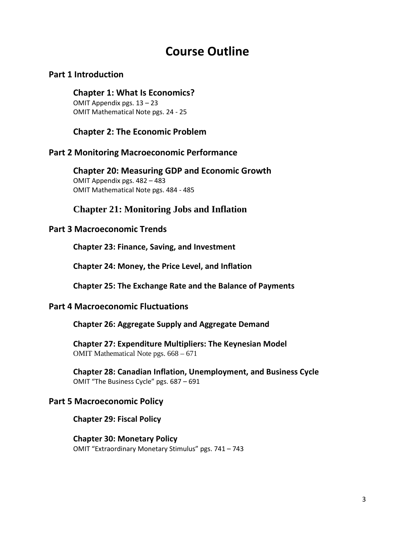# **Course Outline**

# **Part 1 Introduction**

# **Chapter 1: What Is Economics?**

OMIT Appendix pgs. 13 – 23 OMIT Mathematical Note pgs. 24 - 25

# **Chapter 2: The Economic Problem**

# **Part 2 Monitoring Macroeconomic Performance**

**Chapter 20: Measuring GDP and Economic Growth**  OMIT Appendix pgs. 482 – 483 OMIT Mathematical Note pgs. 484 - 485

# **Chapter 21: Monitoring Jobs and Inflation**

# **Part 3 Macroeconomic Trends**

**Chapter 23: Finance, Saving, and Investment** 

**Chapter 24: Money, the Price Level, and Inflation** 

**Chapter 25: The Exchange Rate and the Balance of Payments** 

# **Part 4 Macroeconomic Fluctuations**

**Chapter 26: Aggregate Supply and Aggregate Demand** 

**Chapter 27: Expenditure Multipliers: The Keynesian Model**  OMIT Mathematical Note pgs. 668 – 671

**Chapter 28: Canadian Inflation, Unemployment, and Business Cycle**  OMIT "The Business Cycle" pgs. 687 – 691

# **Part 5 Macroeconomic Policy**

**Chapter 29: Fiscal Policy** 

**Chapter 30: Monetary Policy**  OMIT "Extraordinary Monetary Stimulus" pgs. 741 – 743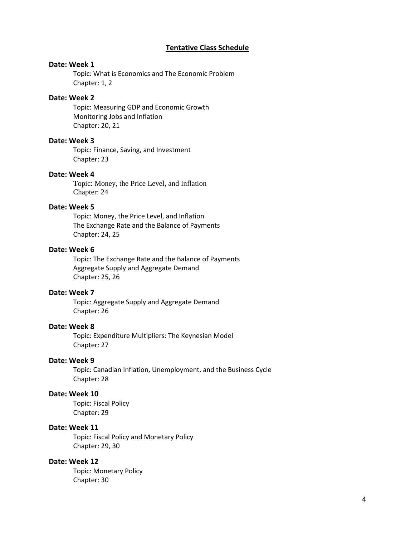### **Tentative Class Schedule**

### **Date: Week 1**

Topic: What is Economics and The Economic Problem Chapter: 1, 2

### **Date: Week 2**

Topic: Measuring GDP and Economic Growth Monitoring Jobs and Inflation Chapter: 20, 21

#### **Date: Week 3**

Topic: Finance, Saving, and Investment Chapter: 23

#### **Date: Week 4**

Topic: Money, the Price Level, and Inflation Chapter: 24

### **Date: Week 5**

Topic: Money, the Price Level, and Inflation The Exchange Rate and the Balance of Payments Chapter: 24, 25

### **Date: Week 6**

Topic: The Exchange Rate and the Balance of Payments Aggregate Supply and Aggregate Demand Chapter: 25, 26

#### **Date: Week 7**

Topic: Aggregate Supply and Aggregate Demand Chapter: 26

### **Date: Week 8**

Topic: Expenditure Multipliers: The Keynesian Model Chapter: 27

### **Date: Week 9**

Topic: Canadian Inflation, Unemployment, and the Business Cycle Chapter: 28

### **Date: Week 10**

Topic: Fiscal Policy Chapter: 29

#### **Date: Week 11**

Topic: Fiscal Policy and Monetary Policy Chapter: 29, 30

#### **Date: Week 12**

Topic: Monetary Policy Chapter: 30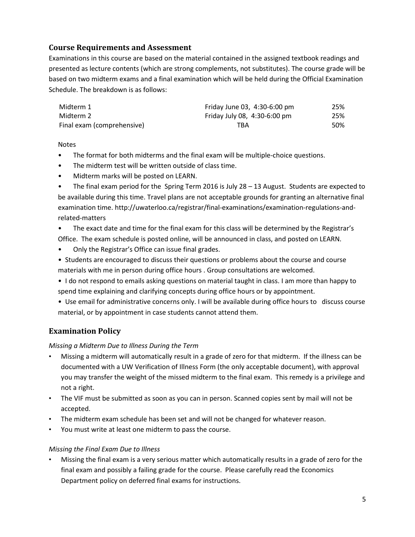# **Course Requirements and Assessment**

Examinations in this course are based on the material contained in the assigned textbook readings and presented as lecture contents (which are strong complements, not substitutes). The course grade will be based on two midterm exams and a final examination which will be held during the Official Examination Schedule. The breakdown is as follows:

| Midterm 1                  | Friday June 03, 4:30-6:00 pm | 25% |
|----------------------------|------------------------------|-----|
| Midterm 2                  | Friday July 08, 4:30-6:00 pm | 25% |
| Final exam (comprehensive) | TBA                          | 50% |

### **Notes**

- The format for both midterms and the final exam will be multiple-choice questions.
- The midterm test will be written outside of class time.
- Midterm marks will be posted on LEARN.
- The final exam period for the Spring Term 2016 is July 28 13 August. Students are expected to be available during this time. Travel plans are not acceptable grounds for granting an alternative final examination time. http://uwaterloo.ca/registrar/final-examinations/examination-regulations-andrelated-matters
- The exact date and time for the final exam for this class will be determined by the Registrar's Office. The exam schedule is posted online, will be announced in class, and posted on LEARN.
- Only the Registrar's Office can issue final grades.
- Students are encouraged to discuss their questions or problems about the course and course materials with me in person during office hours . Group consultations are welcomed.
- I do not respond to emails asking questions on material taught in class. I am more than happy to spend time explaining and clarifying concepts during office hours or by appointment.
- Use email for administrative concerns only. I will be available during office hours to discuss course material, or by appointment in case students cannot attend them.

# **Examination Policy**

*Missing a Midterm Due to Illness During the Term*

- Missing a midterm will automatically result in a grade of zero for that midterm. If the illness can be documented with a UW Verification of Illness Form (the only acceptable document), with approval you may transfer the weight of the missed midterm to the final exam. This remedy is a privilege and not a right.
- The VIF must be submitted as soon as you can in person. Scanned copies sent by mail will not be accepted.
- The midterm exam schedule has been set and will not be changed for whatever reason.
- You must write at least one midterm to pass the course.

### *Missing the Final Exam Due to Illness*

• Missing the final exam is a very serious matter which automatically results in a grade of zero for the final exam and possibly a failing grade for the course. Please carefully read the Economics Department policy on deferred final exams for instructions.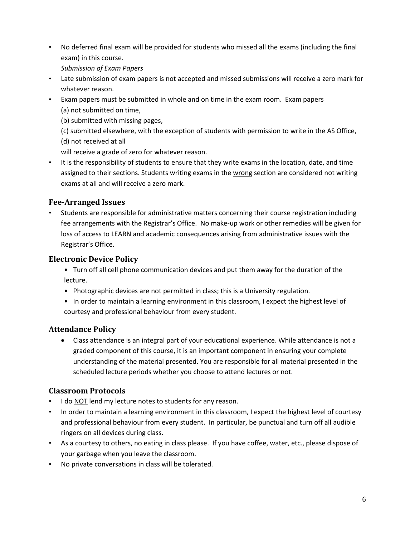• No deferred final exam will be provided for students who missed all the exams (including the final exam) in this course.

*Submission of Exam Papers*

- Late submission of exam papers is not accepted and missed submissions will receive a zero mark for whatever reason.
- Exam papers must be submitted in whole and on time in the exam room. Exam papers (a) not submitted on time,
	- (b) submitted with missing pages,
	- (c) submitted elsewhere, with the exception of students with permission to write in the AS Office, (d) not received at all

will receive a grade of zero for whatever reason.

• It is the responsibility of students to ensure that they write exams in the location, date, and time assigned to their sections. Students writing exams in the wrong section are considered not writing exams at all and will receive a zero mark.

# **Fee-Arranged Issues**

• Students are responsible for administrative matters concerning their course registration including fee arrangements with the Registrar's Office. No make-up work or other remedies will be given for loss of access to LEARN and academic consequences arising from administrative issues with the Registrar's Office.

# **Electronic Device Policy**

- Turn off all cell phone communication devices and put them away for the duration of the lecture.
- Photographic devices are not permitted in class; this is a University regulation.
- In order to maintain a learning environment in this classroom, I expect the highest level of courtesy and professional behaviour from every student.

# **Attendance Policy**

• Class attendance is an integral part of your educational experience. While attendance is not a graded component of this course, it is an important component in ensuring your complete understanding of the material presented. You are responsible for all material presented in the scheduled lecture periods whether you choose to attend lectures or not.

# **Classroom Protocols**

- I do **NOT** lend my lecture notes to students for any reason.
- In order to maintain a learning environment in this classroom, I expect the highest level of courtesy and professional behaviour from every student. In particular, be punctual and turn off all audible ringers on all devices during class.
- As a courtesy to others, no eating in class please. If you have coffee, water, etc., please dispose of your garbage when you leave the classroom.
- No private conversations in class will be tolerated.